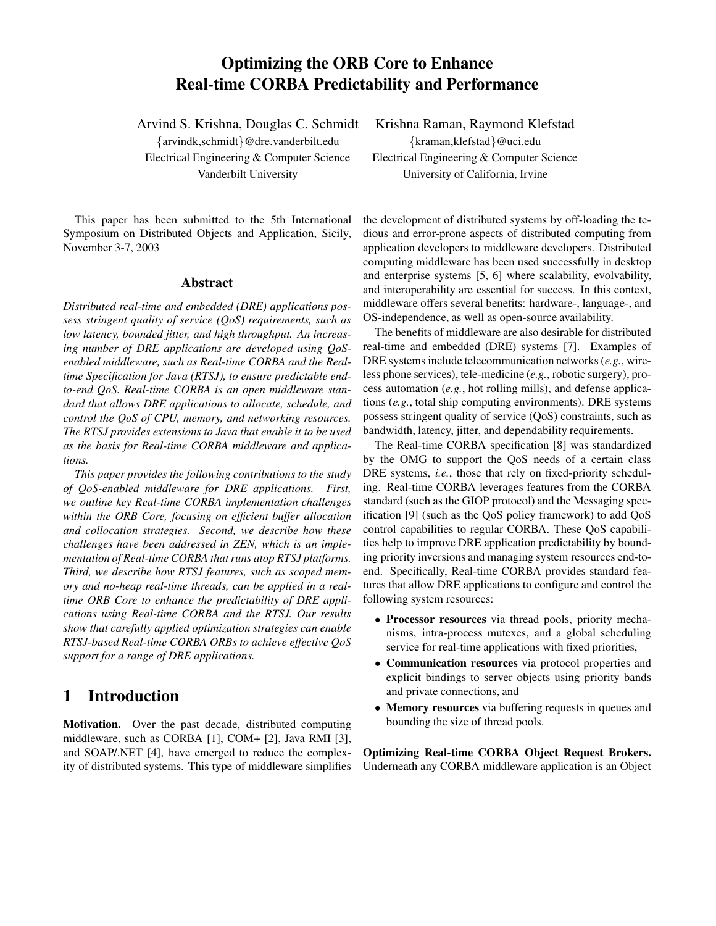# **Optimizing the ORB Core to Enhance Real-time CORBA Predictability and Performance**

{arvindk,schmidt}@dre.vanderbilt.edu {kraman,klefstad}@uci.edu Electrical Engineering & Computer Science Electrical Engineering & Computer Science

This paper has been submitted to the 5th International Symposium on Distributed Objects and Application, Sicily, November 3-7, 2003

#### **Abstract**

*Distributed real-time and embedded (DRE) applications possess stringent quality of service (QoS) requirements, such as low latency, bounded jitter, and high throughput. An increasing number of DRE applications are developed using QoSenabled middleware, such as Real-time CORBA and the Realtime Specification for Java (RTSJ), to ensure predictable endto-end QoS. Real-time CORBA is an open middleware standard that allows DRE applications to allocate, schedule, and control the QoS of CPU, memory, and networking resources. The RTSJ provides extensions to Java that enable it to be used as the basis for Real-time CORBA middleware and applications.*

*This paper provides the following contributions to the study of QoS-enabled middleware for DRE applications. First, we outline key Real-time CORBA implementation challenges within the ORB Core, focusing on efficient buffer allocation and collocation strategies. Second, we describe how these challenges have been addressed in ZEN, which is an implementation of Real-time CORBA that runs atop RTSJ platforms. Third, we describe how RTSJ features, such as scoped memory and no-heap real-time threads, can be applied in a realtime ORB Core to enhance the predictability of DRE applications using Real-time CORBA and the RTSJ. Our results show that carefully applied optimization strategies can enable RTSJ-based Real-time CORBA ORBs to achieve effective QoS support for a range of DRE applications.*

# **1 Introduction**

**Motivation.** Over the past decade, distributed computing middleware, such as CORBA [1], COM+ [2], Java RMI [3], and SOAP/.NET [4], have emerged to reduce the complexity of distributed systems. This type of middleware simplifies

Arvind S. Krishna, Douglas C. Schmidt Krishna Raman, Raymond Klefstad

Vanderbilt University University of California, Irvine

the development of distributed systems by off-loading the tedious and error-prone aspects of distributed computing from application developers to middleware developers. Distributed computing middleware has been used successfully in desktop and enterprise systems [5, 6] where scalability, evolvability, and interoperability are essential for success. In this context, middleware offers several benefits: hardware-, language-, and OS-independence, as well as open-source availability.

The benefits of middleware are also desirable for distributed real-time and embedded (DRE) systems [7]. Examples of DRE systems include telecommunication networks(*e.g.*, wireless phone services), tele-medicine (*e.g.*, robotic surgery), process automation (*e.g.*, hot rolling mills), and defense applications (*e.g.*, total ship computing environments). DRE systems possess stringent quality of service (QoS) constraints, such as bandwidth, latency, jitter, and dependability requirements.

The Real-time CORBA specification [8] was standardized by the OMG to support the QoS needs of a certain class DRE systems, *i.e.*, those that rely on fixed-priority scheduling. Real-time CORBA leverages features from the CORBA standard (such as the GIOP protocol) and the Messaging specification [9] (such as the QoS policy framework) to add QoS control capabilities to regular CORBA. These QoS capabilities help to improve DRE application predictability by bounding priority inversions and managing system resources end-toend. Specifically, Real-time CORBA provides standard features that allow DRE applications to configure and control the following system resources:

- **Processor resources** via thread pools, priority mechanisms, intra-process mutexes, and a global scheduling service for real-time applications with fixed priorities,
- **Communication resources** via protocol properties and explicit bindings to server objects using priority bands and private connections, and
- **Memory resources** via buffering requests in queues and bounding the size of thread pools.

**Optimizing Real-time CORBA Object Request Brokers.** Underneath any CORBA middleware application is an Object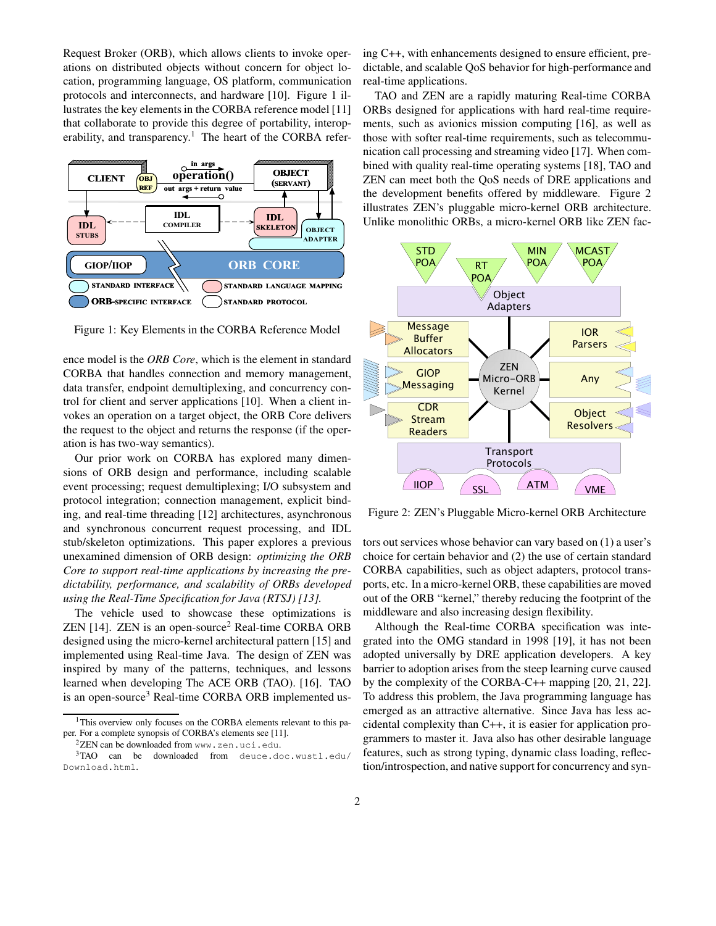Request Broker (ORB), which allows clients to invoke operations on distributed objects without concern for object location, programming language, OS platform, communication protocols and interconnects, and hardware [10]. Figure 1 illustrates the key elements in the CORBA reference model [11] that collaborate to provide this degree of portability, interoperability, and transparency.<sup>1</sup> The heart of the CORBA refer-



Figure 1: Key Elements in the CORBA Reference Model

ence model is the *ORB Core*, which is the element in standard CORBA that handles connection and memory management, data transfer, endpoint demultiplexing, and concurrency control for client and server applications [10]. When a client invokes an operation on a target object, the ORB Core delivers the request to the object and returns the response (if the operation is has two-way semantics).

Our prior work on CORBA has explored many dimensions of ORB design and performance, including scalable event processing; request demultiplexing; I/O subsystem and protocol integration; connection management, explicit binding, and real-time threading [12] architectures, asynchronous and synchronous concurrent request processing, and IDL stub/skeleton optimizations. This paper explores a previous unexamined dimension of ORB design: *optimizing the ORB Core to support real-time applications by increasing the predictability, performance, and scalability of ORBs developed using the Real-Time Specification for Java (RTSJ) [13].*

The vehicle used to showcase these optimizations is  $ZEN$  [14].  $ZEN$  is an open-source<sup>2</sup> Real-time CORBA ORB designed using the micro-kernel architectural pattern [15] and implemented using Real-time Java. The design of ZEN was inspired by many of the patterns, techniques, and lessons learned when developing The ACE ORB (TAO). [16]. TAO is an open-source<sup>3</sup> Real-time CORBA ORB implemented us-

<sup>2</sup>ZEN can be downloaded from www.zen.uci.edu.

ing C++, with enhancements designed to ensure efficient, predictable, and scalable QoS behavior for high-performance and real-time applications.

TAO and ZEN are a rapidly maturing Real-time CORBA ORBs designed for applications with hard real-time requirements, such as avionics mission computing [16], as well as those with softer real-time requirements, such as telecommunication call processing and streaming video [17]. When combined with quality real-time operating systems [18], TAO and ZEN can meet both the QoS needs of DRE applications and the development benefits offered by middleware. Figure 2 illustrates ZEN's pluggable micro-kernel ORB architecture. Unlike monolithic ORBs, a micro-kernel ORB like ZEN fac-



Figure 2: ZEN's Pluggable Micro-kernel ORB Architecture

tors out services whose behavior can vary based on (1) a user's choice for certain behavior and (2) the use of certain standard CORBA capabilities, such as object adapters, protocol transports, etc. In a micro-kernel ORB, these capabilities are moved out of the ORB "kernel," thereby reducing the footprint of the middleware and also increasing design flexibility.

Although the Real-time CORBA specification was integrated into the OMG standard in 1998 [19], it has not been adopted universally by DRE application developers. A key barrier to adoption arises from the steep learning curve caused by the complexity of the CORBA-C++ mapping [20, 21, 22]. To address this problem, the Java programming language has emerged as an attractive alternative. Since Java has less accidental complexity than C++, it is easier for application programmers to master it. Java also has other desirable language features, such as strong typing, dynamic class loading, reflection/introspection, and native support for concurrency and syn-

<sup>&</sup>lt;sup>1</sup>This overview only focuses on the CORBA elements relevant to this paper. For a complete synopsis of CORBA's elements see [11].

<sup>&</sup>lt;sup>3</sup>TAO can be downloaded from deuce.doc.wustl.edu/ Download.html.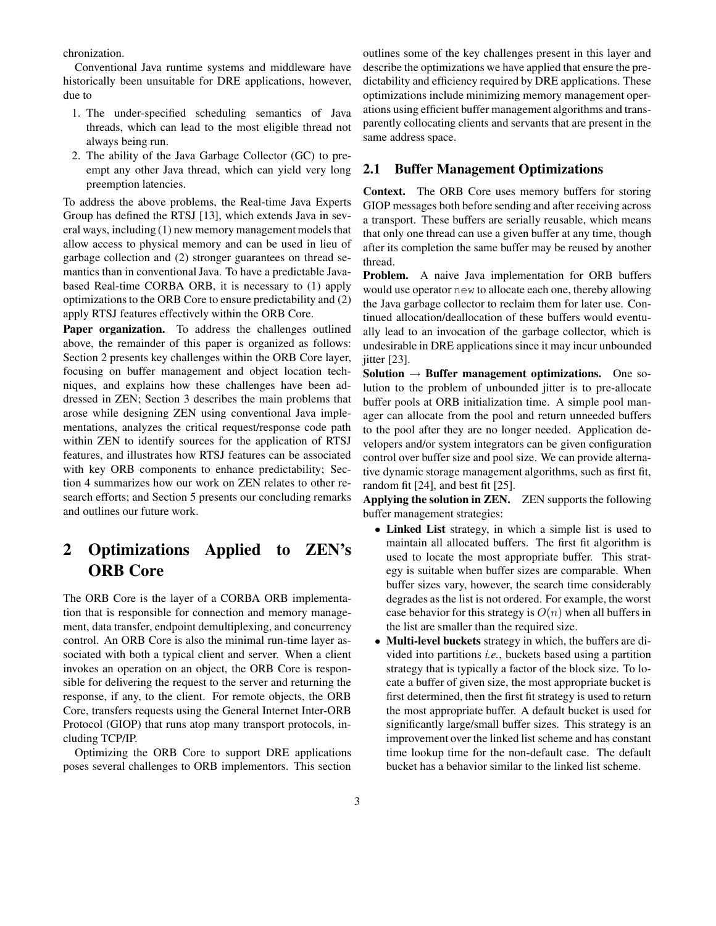chronization.

Conventional Java runtime systems and middleware have historically been unsuitable for DRE applications, however, due to

- 1. The under-specified scheduling semantics of Java threads, which can lead to the most eligible thread not always being run.
- 2. The ability of the Java Garbage Collector (GC) to preempt any other Java thread, which can yield very long preemption latencies.

To address the above problems, the Real-time Java Experts Group has defined the RTSJ [13], which extends Java in several ways, including  $(1)$  new memory management models that allow access to physical memory and can be used in lieu of garbage collection and (2) stronger guarantees on thread semantics than in conventional Java. To have a predictable Javabased Real-time CORBA ORB, it is necessary to (1) apply optimizations to the ORB Core to ensure predictability and (2) apply RTSJ features effectively within the ORB Core.

**Paper organization.** To address the challenges outlined above, the remainder of this paper is organized as follows: Section 2 presents key challenges within the ORB Core layer, focusing on buffer management and object location techniques, and explains how these challenges have been addressed in ZEN; Section 3 describes the main problems that arose while designing ZEN using conventional Java implementations, analyzes the critical request/response code path within ZEN to identify sources for the application of RTSJ features, and illustrates how RTSJ features can be associated with key ORB components to enhance predictability; Section 4 summarizes how our work on ZEN relates to other research efforts; and Section 5 presents our concluding remarks and outlines our future work.

# **2 Optimizations Applied to ZEN's ORB Core**

The ORB Core is the layer of a CORBA ORB implementation that is responsible for connection and memory management, data transfer, endpoint demultiplexing, and concurrency control. An ORB Core is also the minimal run-time layer associated with both a typical client and server. When a client invokes an operation on an object, the ORB Core is responsible for delivering the request to the server and returning the response, if any, to the client. For remote objects, the ORB Core, transfers requests using the General Internet Inter-ORB Protocol (GIOP) that runs atop many transport protocols, including TCP/IP.

Optimizing the ORB Core to support DRE applications poses several challenges to ORB implementors. This section outlines some of the key challenges present in this layer and describe the optimizations we have applied that ensure the predictability and efficiency required by DRE applications. These optimizations include minimizing memory management operations using efficient buffer management algorithms and transparently collocating clients and servants that are present in the same address space.

### **2.1 Buffer Management Optimizations**

**Context.** The ORB Core uses memory buffers for storing GIOP messages both before sending and after receiving across a transport. These buffers are serially reusable, which means that only one thread can use a given buffer at any time, though after its completion the same buffer may be reused by another thread.

**Problem.** A naive Java implementation for ORB buffers would use operator new to allocate each one, thereby allowing the Java garbage collector to reclaim them for later use. Continued allocation/deallocation of these buffers would eventually lead to an invocation of the garbage collector, which is undesirable in DRE applications since it may incur unbounded jitter [23].

**Solution** → **Buffer management optimizations.** One solution to the problem of unbounded jitter is to pre-allocate buffer pools at ORB initialization time. A simple pool manager can allocate from the pool and return unneeded buffers to the pool after they are no longer needed. Application developers and/or system integrators can be given configuration control over buffer size and pool size. We can provide alternative dynamic storage management algorithms, such as first fit, random fit [24], and best fit [25].

**Applying the solution in ZEN.** ZEN supports the following buffer management strategies:

- **Linked List** strategy, in which a simple list is used to maintain all allocated buffers. The first fit algorithm is used to locate the most appropriate buffer. This strategy is suitable when buffer sizes are comparable. When buffer sizes vary, however, the search time considerably degrades as the list is not ordered. For example, the worst case behavior for this strategy is  $O(n)$  when all buffers in the list are smaller than the required size.
- **Multi-level buckets** strategy in which, the buffers are divided into partitions *i.e.*, buckets based using a partition strategy that is typically a factor of the block size. To locate a buffer of given size, the most appropriate bucket is first determined, then the first fit strategy is used to return the most appropriate buffer. A default bucket is used for significantly large/small buffer sizes. This strategy is an improvement over the linked list scheme and has constant time lookup time for the non-default case. The default bucket has a behavior similar to the linked list scheme.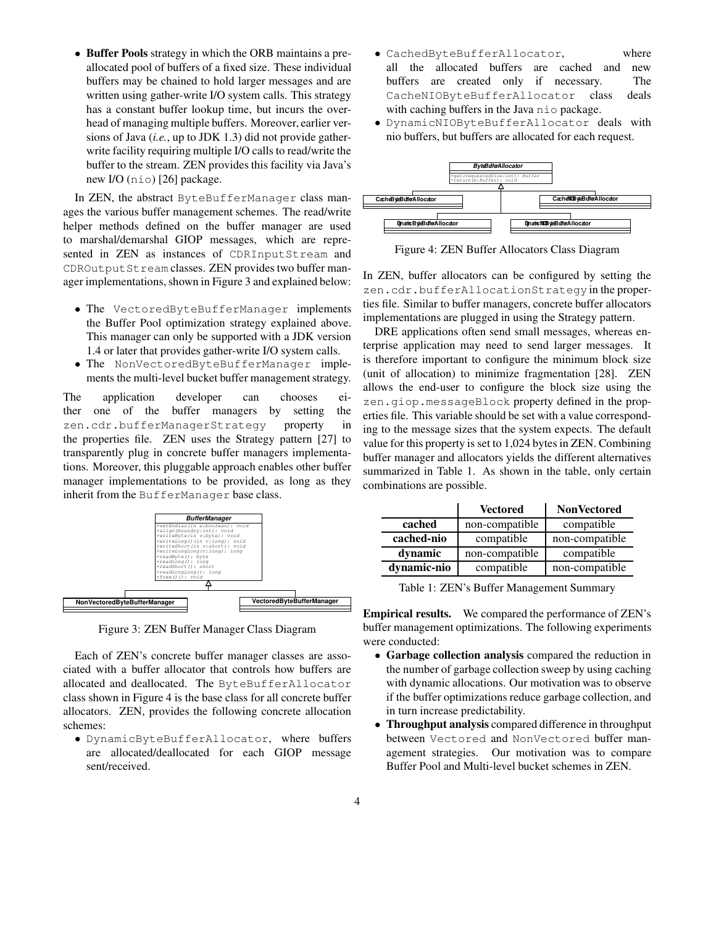• **Buffer Pools** strategy in which the ORB maintains a preallocated pool of buffers of a fixed size. These individual buffers may be chained to hold larger messages and are written using gather-write I/O system calls. This strategy has a constant buffer lookup time, but incurs the overhead of managing multiple buffers. Moreover, earlier versions of Java (*i.e.*, up to JDK 1.3) did not provide gatherwrite facility requiring multiple I/O calls to read/write the buffer to the stream. ZEN provides this facility via Java's new I/O (nio) [26] package.

In ZEN, the abstract ByteBufferManager class manages the various buffer management schemes. The read/write helper methods defined on the buffer manager are used to marshal/demarshal GIOP messages, which are represented in ZEN as instances of CDRInputStream and CDROutputStream classes. ZEN provides two buffer manager implementations, shown in Figure 3 and explained below:

- The VectoredByteBufferManager implements the Buffer Pool optimization strategy explained above. This manager can only be supported with a JDK version 1.4 or later that provides gather-write I/O system calls.
- The NonVectoredByteBufferManager implements the multi-level bucket buffer management strategy.

The application developer can chooses either one of the buffer managers by setting the zen.cdr.bufferManagerStrategy property in the properties file. ZEN uses the Strategy pattern [27] to transparently plug in concrete buffer managers implementations. Moreover, this pluggable approach enables other buffer manager implementations to be provided, as long as they inherit from the BufferManager base class.



Figure 3: ZEN Buffer Manager Class Diagram

Each of ZEN's concrete buffer manager classes are associated with a buffer allocator that controls how buffers are allocated and deallocated. The ByteBufferAllocator class shown in Figure 4 is the base class for all concrete buffer allocators. ZEN, provides the following concrete allocation schemes:

• DynamicByteBufferAllocator, where buffers are allocated/deallocated for each GIOP message sent/received.

- CachedByteBufferAllocator, where all the allocated buffers are cached and new buffers are created only if necessary. The CacheNIOByteBufferAllocator class deals with caching buffers in the Java nio package.
- DynamicNIOByteBufferAllocator deals with nio buffers, but buffers are allocated for each request.



Figure 4: ZEN Buffer Allocators Class Diagram

In ZEN, buffer allocators can be configured by setting the zen.cdr.bufferAllocationStrategyin the properties file. Similar to buffer managers, concrete buffer allocators implementations are plugged in using the Strategy pattern.

DRE applications often send small messages, whereas enterprise application may need to send larger messages. It is therefore important to configure the minimum block size (unit of allocation) to minimize fragmentation [28]. ZEN allows the end-user to configure the block size using the zen.giop.messageBlock property defined in the properties file. This variable should be set with a value corresponding to the message sizes that the system expects. The default value for this property is set to 1,024 bytes in ZEN. Combining buffer manager and allocators yields the different alternatives summarized in Table 1. As shown in the table, only certain combinations are possible.

|             | <b>Vectored</b> | <b>NonVectored</b> |  |
|-------------|-----------------|--------------------|--|
| cached      | non-compatible  | compatible         |  |
| cached-nio  | compatible      | non-compatible     |  |
| dynamic     | non-compatible  | compatible         |  |
| dynamic-nio | compatible      | non-compatible     |  |

Table 1: ZEN's Buffer Management Summary

**Empirical results.** We compared the performance of ZEN's buffer management optimizations. The following experiments were conducted:

- **Garbage collection analysis** compared the reduction in the number of garbage collection sweep by using caching with dynamic allocations. Our motivation was to observe if the buffer optimizations reduce garbage collection, and in turn increase predictability.
- **Throughput analysis** compared difference in throughput between Vectored and NonVectored buffer management strategies. Our motivation was to compare Buffer Pool and Multi-level bucket schemes in ZEN.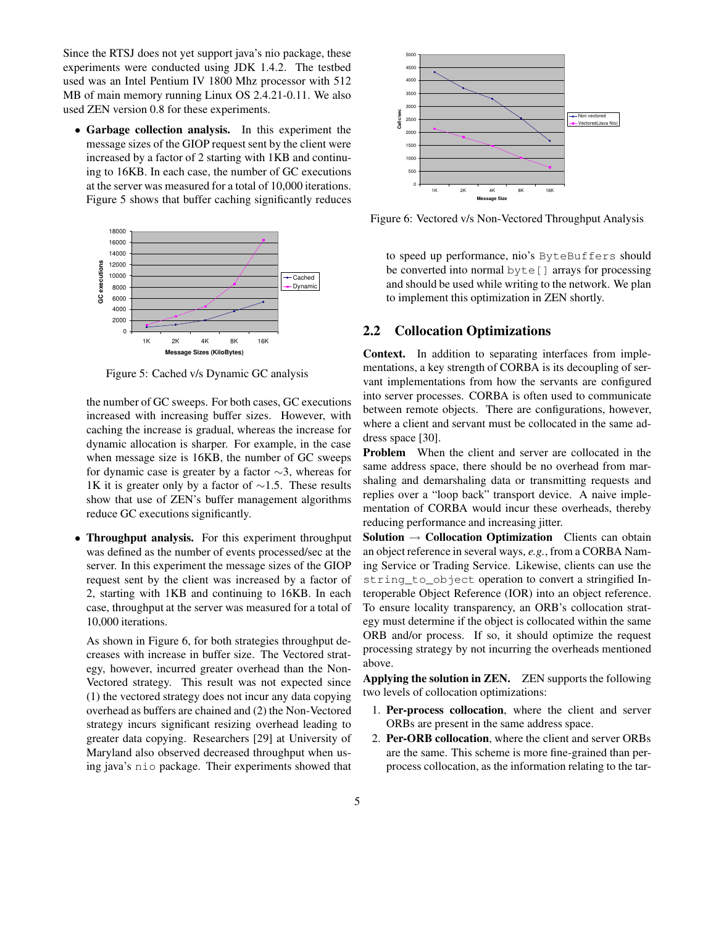Since the RTSJ does not yet support java's nio package, these experiments were conducted using JDK 1.4.2. The testbed used was an Intel Pentium IV 1800 Mhz processor with 512 MB of main memory running Linux OS 2.4.21-0.11. We also used ZEN version 0.8 for these experiments.

• **Garbage collection analysis.** In this experiment the message sizes of the GIOP request sent by the client were increased by a factor of 2 starting with 1KB and continuing to 16KB. In each case, the number of GC executions at the server was measured for a total of 10,000 iterations. Figure 5 shows that buffer caching significantly reduces



Figure 5: Cached v/s Dynamic GC analysis

the number of GC sweeps. For both cases, GC executions increased with increasing buffer sizes. However, with caching the increase is gradual, whereas the increase for dynamic allocation is sharper. For example, in the case when message size is 16KB, the number of GC sweeps for dynamic case is greater by a factor ∼3, whereas for 1K it is greater only by a factor of  $\sim$ 1.5. These results show that use of ZEN's buffer management algorithms reduce GC executions significantly.

• **Throughput analysis.** For this experiment throughput was defined as the number of events processed/sec at the server. In this experiment the message sizes of the GIOP request sent by the client was increased by a factor of 2, starting with 1KB and continuing to 16KB. In each case, throughput at the server was measured for a total of 10,000 iterations.

As shown in Figure 6, for both strategies throughput decreases with increase in buffer size. The Vectored strategy, however, incurred greater overhead than the Non-Vectored strategy. This result was not expected since (1) the vectored strategy does not incur any data copying overhead as buffers are chained and (2) the Non-Vectored strategy incurs significant resizing overhead leading to greater data copying. Researchers [29] at University of Maryland also observed decreased throughput when using java's nio package. Their experiments showed that



Figure 6: Vectored v/s Non-Vectored Throughput Analysis

to speed up performance, nio's ByteBuffers should be converted into normal byte[] arrays for processing and should be used while writing to the network. We plan to implement this optimization in ZEN shortly.

### **2.2 Collocation Optimizations**

**Context.** In addition to separating interfaces from implementations, a key strength of CORBA is its decoupling of servant implementations from how the servants are configured into server processes. CORBA is often used to communicate between remote objects. There are configurations, however, where a client and servant must be collocated in the same address space [30].

**Problem** When the client and server are collocated in the same address space, there should be no overhead from marshaling and demarshaling data or transmitting requests and replies over a "loop back" transport device. A naive implementation of CORBA would incur these overheads, thereby reducing performance and increasing jitter.

**Solution** → **Collocation Optimization** Clients can obtain an object reference in several ways, *e.g.*, from a CORBA Naming Service or Trading Service. Likewise, clients can use the string\_to\_object operation to convert a stringified Interoperable Object Reference (IOR) into an object reference. To ensure locality transparency, an ORB's collocation strategy must determine if the object is collocated within the same ORB and/or process. If so, it should optimize the request processing strategy by not incurring the overheads mentioned above.

**Applying the solution in ZEN.** ZEN supports the following two levels of collocation optimizations:

- 1. **Per-process collocation**, where the client and server ORBs are present in the same address space.
- 2. **Per-ORB collocation**, where the client and server ORBs are the same. This scheme is more fine-grained than perprocess collocation, as the information relating to the tar-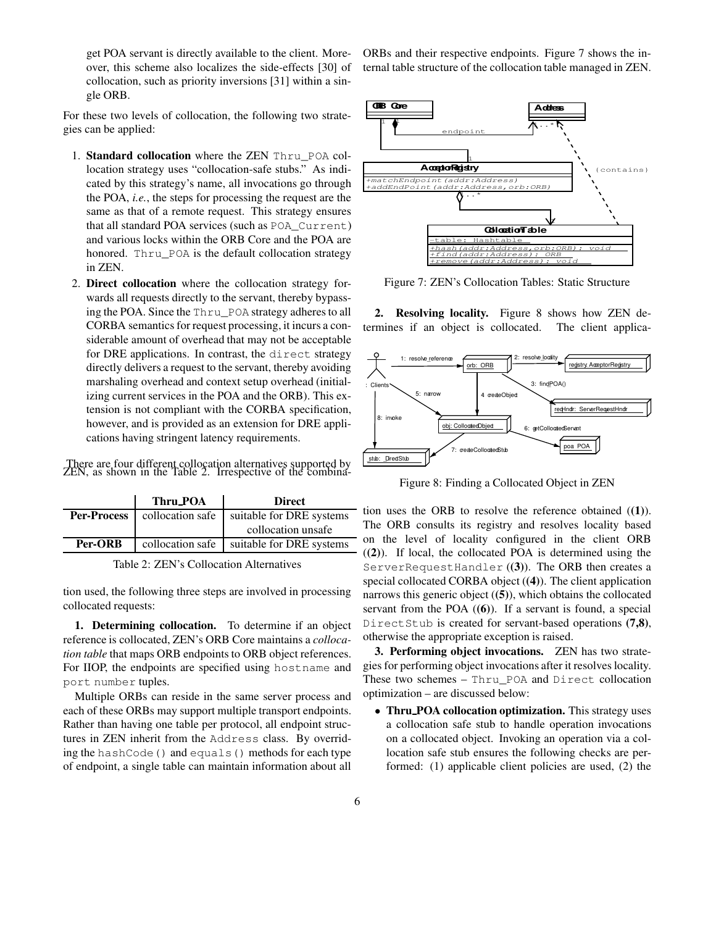get POA servant is directly available to the client. Moreover, this scheme also localizes the side-effects [30] of collocation, such as priority inversions [31] within a single ORB.

For these two levels of collocation, the following two strategies can be applied:

- 1. **Standard collocation** where the ZEN Thru\_POA collocation strategy uses "collocation-safe stubs." As indicated by this strategy's name, all invocations go through the POA, *i.e.*, the steps for processing the request are the same as that of a remote request. This strategy ensures that all standard POA services (such as POA\_Current) and various locks within the ORB Core and the POA are honored. Thru\_POA is the default collocation strategy in ZEN.
- 2. **Direct collocation** where the collocation strategy forwards all requests directly to the servant, thereby bypassing the POA. Since the Thru\_POA strategy adheresto all CORBA semantics for request processing, it incurs a considerable amount of overhead that may not be acceptable for DRE applications. In contrast, the direct strategy directly delivers a request to the servant, thereby avoiding marshaling overhead and context setup overhead (initializing current services in the POA and the ORB). This extension is not compliant with the CORBA specification, however, and is provided as an extension for DRE applications having stringent latency requirements.

There are four different collocation alternatives supported by ZEN, as shown in the Table 2. Irrespective of the combina-

|                    | Thru POA         | <b>Direct</b>            |  |
|--------------------|------------------|--------------------------|--|
| <b>Per-Process</b> | collocation safe | suitable for DRE systems |  |
|                    |                  | collocation unsafe       |  |
| Per-ORB            | collocation safe | suitable for DRE systems |  |
|                    |                  |                          |  |

Table 2: ZEN's Collocation Alternatives

tion used, the following three steps are involved in processing collocated requests:

**1. Determining collocation.** To determine if an object reference is collocated, ZEN's ORB Core maintains a *collocation table* that maps ORB endpoints to ORB object references. For IIOP, the endpoints are specified using hostname and port number tuples.

Multiple ORBs can reside in the same server process and each of these ORBs may support multiple transport endpoints. Rather than having one table per protocol, all endpoint structures in ZEN inherit from the Address class. By overriding the hashCode() and equals() methods for each type of endpoint, a single table can maintain information about all ORBs and their respective endpoints. Figure 7 shows the internal table structure of the collocation table managed in ZEN.



Figure 7: ZEN's Collocation Tables: Static Structure

**2. Resolving locality.** Figure 8 shows how ZEN determines if an object is collocated. The client applica-



Figure 8: Finding a Collocated Object in ZEN

tion uses the ORB to resolve the reference obtained (**(1)**). The ORB consults its registry and resolves locality based on the level of locality configured in the client ORB (**(2)**). If local, the collocated POA is determined using the ServerRequestHandler (**(3)**). The ORB then creates a special collocated CORBA object (**(4)**). The client application narrows this generic object (**(5)**), which obtains the collocated servant from the POA (**(6)**). If a servant is found, a special DirectStub is created for servant-based operations **(7,8)**, otherwise the appropriate exception is raised.

**3. Performing object invocations.** ZEN has two strategies for performing object invocations after it resolves locality. These two schemes – Thru\_POA and Direct collocation optimization – are discussed below:

• **Thru POA collocation optimization.** This strategy uses a collocation safe stub to handle operation invocations on a collocated object. Invoking an operation via a collocation safe stub ensures the following checks are performed: (1) applicable client policies are used, (2) the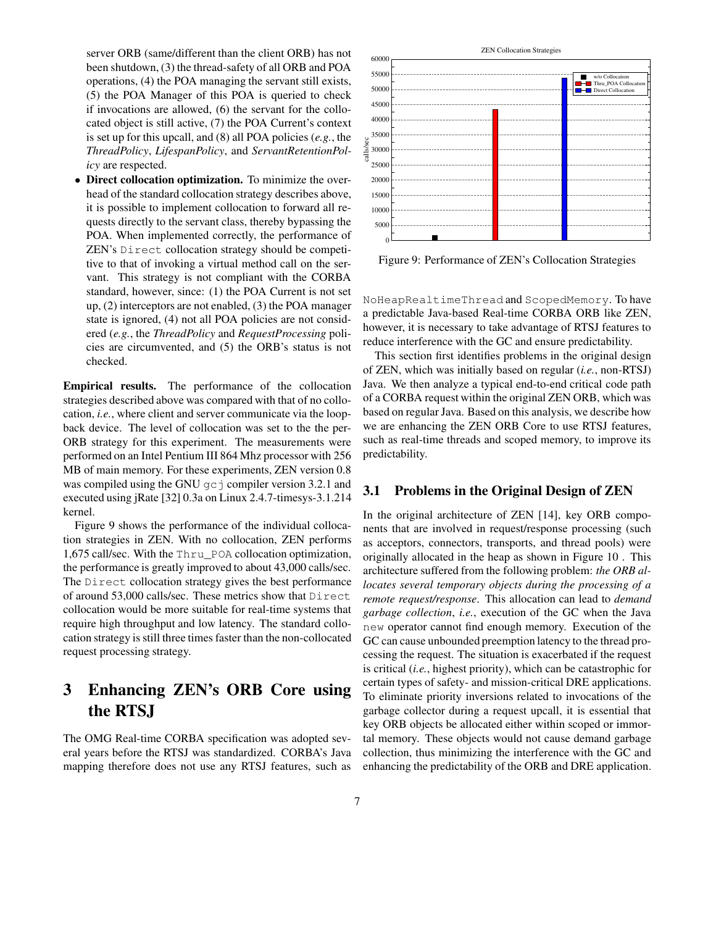server ORB (same/different than the client ORB) has not been shutdown, (3) the thread-safety of all ORB and POA operations, (4) the POA managing the servant still exists, (5) the POA Manager of this POA is queried to check if invocations are allowed, (6) the servant for the collocated object is still active, (7) the POA Current's context is set up for this upcall, and (8) all POA policies (*e.g.*, the *ThreadPolicy*, *LifespanPolicy*, and *ServantRetentionPolicy* are respected.

• **Direct collocation optimization.** To minimize the overhead of the standard collocation strategy describes above, it is possible to implement collocation to forward all requests directly to the servant class, thereby bypassing the POA. When implemented correctly, the performance of ZEN's Direct collocation strategy should be competitive to that of invoking a virtual method call on the servant. This strategy is not compliant with the CORBA standard, however, since: (1) the POA Current is not set up, (2) interceptors are not enabled, (3) the POA manager state is ignored, (4) not all POA policies are not considered (*e.g.*, the *ThreadPolicy* and *RequestProcessing* policies are circumvented, and (5) the ORB's status is not checked.

**Empirical results.** The performance of the collocation strategies described above was compared with that of no collocation, *i.e.*, where client and server communicate via the loopback device. The level of collocation was set to the the per-ORB strategy for this experiment. The measurements were performed on an Intel Pentium III 864 Mhz processor with 256 MB of main memory. For these experiments, ZEN version 0.8 was compiled using the GNU  $q\text{c}$  j compiler version 3.2.1 and executed using jRate [32] 0.3a on Linux 2.4.7-timesys-3.1.214 kernel.

Figure 9 shows the performance of the individual collocation strategies in ZEN. With no collocation, ZEN performs 1,675 call/sec. With the Thru\_POA collocation optimization, the performance is greatly improved to about 43,000 calls/sec. The Direct collocation strategy gives the best performance of around 53,000 calls/sec. These metrics show that Direct collocation would be more suitable for real-time systems that require high throughput and low latency. The standard collocation strategy is still three times faster than the non-collocated request processing strategy.

# **3 Enhancing ZEN's ORB Core using the RTSJ**

The OMG Real-time CORBA specification was adopted several years before the RTSJ was standardized. CORBA's Java mapping therefore does not use any RTSJ features, such as



Figure 9: Performance of ZEN's Collocation Strategies

NoHeapRealtimeThread and ScopedMemory. To have a predictable Java-based Real-time CORBA ORB like ZEN, however, it is necessary to take advantage of RTSJ features to reduce interference with the GC and ensure predictability.

This section first identifies problems in the original design of ZEN, which was initially based on regular (*i.e.*, non-RTSJ) Java. We then analyze a typical end-to-end critical code path of a CORBA request within the original ZEN ORB, which was based on regular Java. Based on this analysis, we describe how we are enhancing the ZEN ORB Core to use RTSJ features, such as real-time threads and scoped memory, to improve its predictability.

## **3.1 Problems in the Original Design of ZEN**

In the original architecture of ZEN [14], key ORB components that are involved in request/response processing (such as acceptors, connectors, transports, and thread pools) were originally allocated in the heap as shown in Figure 10 . This architecture suffered from the following problem: *the ORB allocates several temporary objects during the processing of a remote request/response*. This allocation can lead to *demand garbage collection*, *i.e.*, execution of the GC when the Java new operator cannot find enough memory. Execution of the GC can cause unbounded preemption latency to the thread processing the request. The situation is exacerbated if the request is critical (*i.e.*, highest priority), which can be catastrophic for certain types of safety- and mission-critical DRE applications. To eliminate priority inversions related to invocations of the garbage collector during a request upcall, it is essential that key ORB objects be allocated either within scoped or immortal memory. These objects would not cause demand garbage collection, thus minimizing the interference with the GC and enhancing the predictability of the ORB and DRE application.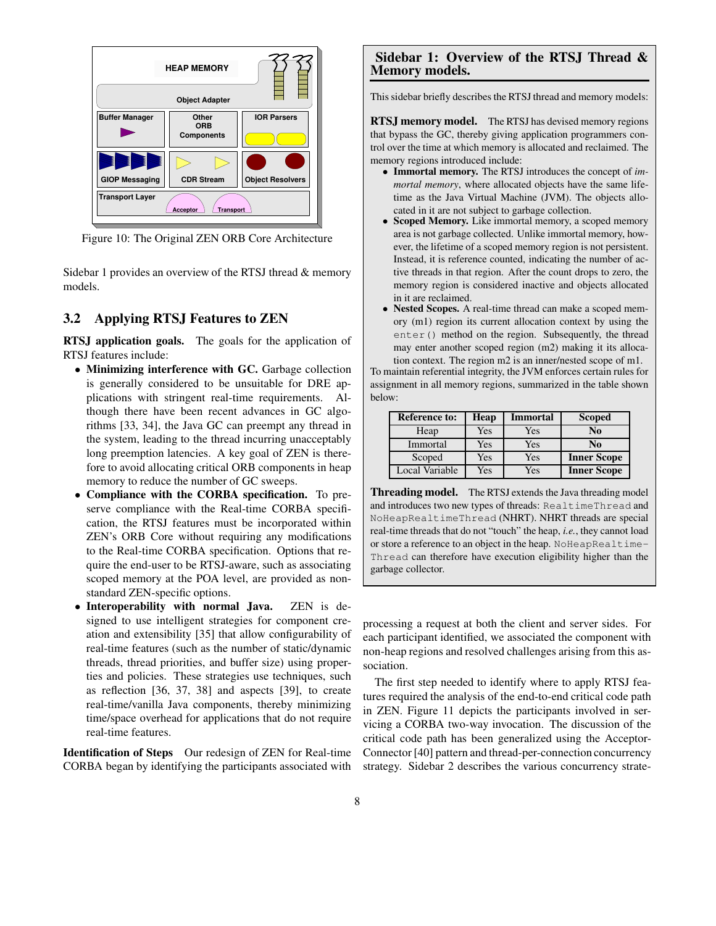

Figure 10: The Original ZEN ORB Core Architecture

Sidebar 1 provides an overview of the RTSJ thread & memory models.

### **3.2 Applying RTSJ Features to ZEN**

**RTSJ application goals.** The goals for the application of RTSJ features include:

- **Minimizing interference with GC.** Garbage collection is generally considered to be unsuitable for DRE applications with stringent real-time requirements. Although there have been recent advances in GC algorithms [33, 34], the Java GC can preempt any thread in the system, leading to the thread incurring unacceptably long preemption latencies. A key goal of ZEN is therefore to avoid allocating critical ORB components in heap memory to reduce the number of GC sweeps.
- **Compliance with the CORBA specification.** To preserve compliance with the Real-time CORBA specification, the RTSJ features must be incorporated within ZEN's ORB Core without requiring any modifications to the Real-time CORBA specification. Options that require the end-user to be RTSJ-aware, such as associating scoped memory at the POA level, are provided as nonstandard ZEN-specific options.
- **Interoperability with normal Java.** ZEN is designed to use intelligent strategies for component creation and extensibility [35] that allow configurability of real-time features (such as the number of static/dynamic threads, thread priorities, and buffer size) using properties and policies. These strategies use techniques, such as reflection [36, 37, 38] and aspects [39], to create real-time/vanilla Java components, thereby minimizing time/space overhead for applications that do not require real-time features.

**Identification of Steps** Our redesign of ZEN for Real-time CORBA began by identifying the participants associated with

### **Sidebar 1: Overview of the RTSJ Thread & Memory models.**

This sidebar briefly describes the RTSJ thread and memory models:

**RTSJ memory model.** The RTSJ has devised memory regions that bypass the GC, thereby giving application programmers control over the time at which memory is allocated and reclaimed. The memory regions introduced include:

- **Immortal memory.** The RTSJ introduces the concept of *immortal memory*, where allocated objects have the same lifetime as the Java Virtual Machine (JVM). The objects allocated in it are not subject to garbage collection.
- **Scoped Memory.** Like immortal memory, a scoped memory area is not garbage collected. Unlike immortal memory, however, the lifetime of a scoped memory region is not persistent. Instead, it is reference counted, indicating the number of active threads in that region. After the count drops to zero, the memory region is considered inactive and objects allocated in it are reclaimed.
- **Nested Scopes.** A real-time thread can make a scoped memory (m1) region its current allocation context by using the enter() method on the region. Subsequently, the thread may enter another scoped region (m2) making it its allocation context. The region m2 is an inner/nested scope of m1.

To maintain referential integrity, the JVM enforces certain rules for assignment in all memory regions, summarized in the table shown below:

| <b>Reference to:</b> | Heap | <b>Immortal</b> | <b>Scoped</b>      |
|----------------------|------|-----------------|--------------------|
| Heap                 | Yes  | Yes             | N <sub>0</sub>     |
| Immortal             | Yes  | Yes             | No                 |
| Scoped               | Yes  | Yes             | <b>Inner Scope</b> |
| Local Variable       | Yes  | Yes             | <b>Inner Scope</b> |

**Threading model.** The RTSJ extends the Java threading model and introduces two new types of threads: RealtimeThread and NoHeapRealtimeThread (NHRT). NHRT threads are special real-time threads that do not "touch" the heap, *i.e.*, they cannot load or store a reference to an object in the heap. NoHeapRealtime-Thread can therefore have execution eligibility higher than the garbage collector.

processing a request at both the client and server sides. For each participant identified, we associated the component with non-heap regions and resolved challenges arising from this association.

The first step needed to identify where to apply RTSJ features required the analysis of the end-to-end critical code path in ZEN. Figure 11 depicts the participants involved in servicing a CORBA two-way invocation. The discussion of the critical code path has been generalized using the Acceptor-Connector [40] pattern and thread-per-connection concurrency strategy. Sidebar 2 describes the various concurrency strate-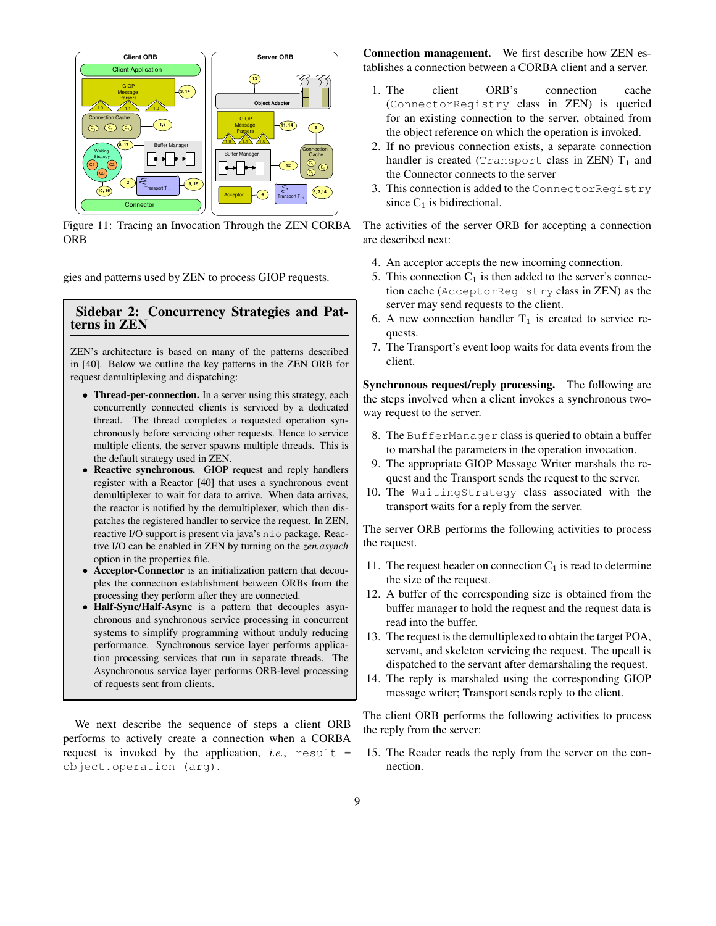

Figure 11: Tracing an Invocation Through the ZEN CORBA ORB

gies and patterns used by ZEN to process GIOP requests.

# **Sidebar 2: Concurrency Strategies and Patterns in ZEN**

ZEN's architecture is based on many of the patterns described in [40]. Below we outline the key patterns in the ZEN ORB for request demultiplexing and dispatching:

- **Thread-per-connection.** In a server using this strategy, each concurrently connected clients is serviced by a dedicated thread. The thread completes a requested operation synchronously before servicing other requests. Hence to service multiple clients, the server spawns multiple threads. This is the default strategy used in ZEN.
- **Reactive synchronous.** GIOP request and reply handlers register with a Reactor [40] that uses a synchronous event demultiplexer to wait for data to arrive. When data arrives, the reactor is notified by the demultiplexer, which then dispatches the registered handler to service the request. In ZEN, reactive I/O support is present via java's nio package. Reactive I/O can be enabled in ZEN by turning on the *zen.asynch* option in the properties file.
- **Acceptor-Connector** is an initialization pattern that decouples the connection establishment between ORBs from the processing they perform after they are connected.
- **Half-Sync/Half-Async** is a pattern that decouples asynchronous and synchronous service processing in concurrent systems to simplify programming without unduly reducing performance. Synchronous service layer performs application processing services that run in separate threads. The Asynchronous service layer performs ORB-level processing of requests sent from clients.

We next describe the sequence of steps a client ORB performs to actively create a connection when a CORBA request is invoked by the application, *i.e.*, result = object.operation (arg).

**Connection management.** We first describe how ZEN establishes a connection between a CORBA client and a server.

- 1. The client ORB's connection cache (ConnectorRegistry class in ZEN) is queried for an existing connection to the server, obtained from the object reference on which the operation is invoked.
- 2. If no previous connection exists, a separate connection handler is created (Transport class in ZEN)  $T_1$  and the Connector connects to the server
- 3. This connection is added to the ConnectorRegistry since  $C_1$  is bidirectional.

The activities of the server ORB for accepting a connection are described next:

- 4. An acceptor accepts the new incoming connection.
- 5. This connection  $C_1$  is then added to the server's connection cache (AcceptorRegistry class in ZEN) as the server may send requests to the client.
- 6. A new connection handler  $T_1$  is created to service requests.
- 7. The Transport's event loop waits for data events from the client.

**Synchronous request/reply processing.** The following are the steps involved when a client invokes a synchronous twoway request to the server.

- 8. The BufferManager class is queried to obtain a buffer to marshal the parameters in the operation invocation.
- 9. The appropriate GIOP Message Writer marshals the request and the Transport sends the request to the server.
- 10. The WaitingStrategy class associated with the transport waits for a reply from the server.

The server ORB performs the following activities to process the request.

- 11. The request header on connection  $C_1$  is read to determine the size of the request.
- 12. A buffer of the corresponding size is obtained from the buffer manager to hold the request and the request data is read into the buffer.
- 13. The request is the demultiplexed to obtain the target POA, servant, and skeleton servicing the request. The upcall is dispatched to the servant after demarshaling the request.
- 14. The reply is marshaled using the corresponding GIOP message writer; Transport sends reply to the client.

The client ORB performs the following activities to process the reply from the server:

15. The Reader reads the reply from the server on the connection.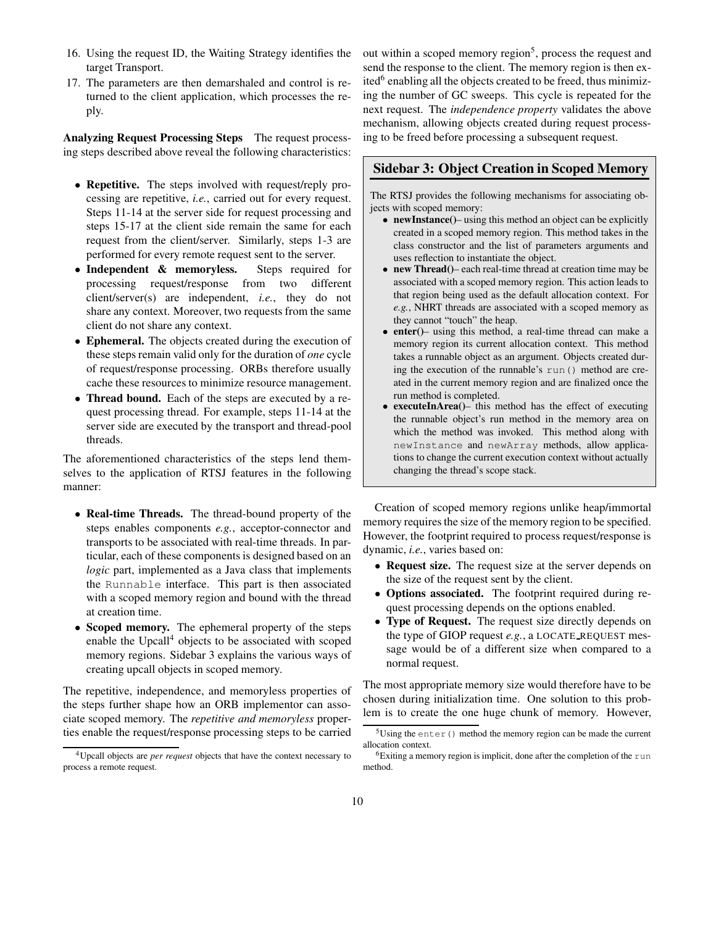- 16. Using the request ID, the Waiting Strategy identifies the target Transport.
- 17. The parameters are then demarshaled and control is returned to the client application, which processes the reply.

**Analyzing Request Processing Steps** The request processing steps described above reveal the following characteristics:

- **Repetitive.** The steps involved with request/reply processing are repetitive, *i.e.*, carried out for every request. Steps 11-14 at the server side for request processing and steps 15-17 at the client side remain the same for each request from the client/server. Similarly, steps 1-3 are performed for every remote request sent to the server.
- **Independent & memoryless.** Steps required for processing request/response from two different client/server(s) are independent, *i.e.*, they do not share any context. Moreover, two requests from the same client do not share any context.
- **Ephemeral.** The objects created during the execution of these steps remain valid only for the duration of *one* cycle of request/response processing. ORBs therefore usually cache these resources to minimize resource management.
- **Thread bound.** Each of the steps are executed by a request processing thread. For example, steps 11-14 at the server side are executed by the transport and thread-pool threads.

The aforementioned characteristics of the steps lend themselves to the application of RTSJ features in the following manner:

- **Real-time Threads.** The thread-bound property of the steps enables components *e.g.*, acceptor-connector and transports to be associated with real-time threads. In particular, each of these components is designed based on an *logic* part, implemented as a Java class that implements the Runnable interface. This part is then associated with a scoped memory region and bound with the thread at creation time.
- **Scoped memory.** The ephemeral property of the steps enable the Upcall<sup>4</sup> objects to be associated with scoped memory regions. Sidebar 3 explains the various ways of creating upcall objects in scoped memory.

The repetitive, independence, and memoryless properties of the steps further shape how an ORB implementor can associate scoped memory. The *repetitive and memoryless* properties enable the request/response processing steps to be carried

out within a scoped memory region<sup>5</sup>, process the request and send the response to the client. The memory region is then exited<sup>6</sup> enabling all the objects created to be freed, thus minimizing the number of GC sweeps. This cycle is repeated for the next request. The *independence property* validates the above mechanism, allowing objects created during request processing to be freed before processing a subsequent request.

## **Sidebar 3: Object Creation in Scoped Memory**

The RTSJ provides the following mechanisms for associating objects with scoped memory:

- **newInstance()** using this method an object can be explicitly created in a scoped memory region. This method takes in the class constructor and the list of parameters arguments and uses reflection to instantiate the object.
- **new Thread()** each real-time thread at creation time may be associated with a scoped memory region. This action leads to that region being used as the default allocation context. For *e.g.*, NHRT threads are associated with a scoped memory as they cannot "touch" the heap.
- **enter()** using this method, a real-time thread can make a memory region its current allocation context. This method takes a runnable object as an argument. Objects created during the execution of the runnable's run() method are created in the current memory region and are finalized once the run method is completed.
- **executeInArea()** this method has the effect of executing the runnable object's run method in the memory area on which the method was invoked. This method along with newInstance and newArray methods, allow applications to change the current execution context without actually changing the thread's scope stack.

Creation of scoped memory regions unlike heap/immortal memory requires the size of the memory region to be specified. However, the footprint required to process request/response is dynamic, *i.e.*, varies based on:

- **Request size.** The request size at the server depends on the size of the request sent by the client.
- **Options associated.** The footprint required during request processing depends on the options enabled.
- **Type of Request.** The request size directly depends on the type of GIOP request *e.g.*, a LOCATE\_REQUEST message would be of a different size when compared to a normal request.

The most appropriate memory size would therefore have to be chosen during initialization time. One solution to this problem is to create the one huge chunk of memory. However,

<sup>4</sup>Upcall objects are *per request* objects that have the context necessary to process a remote request.

 $5$ Using the enter () method the memory region can be made the current allocation context.

<sup>&</sup>lt;sup>6</sup>Exiting a memory region is implicit, done after the completion of the run method.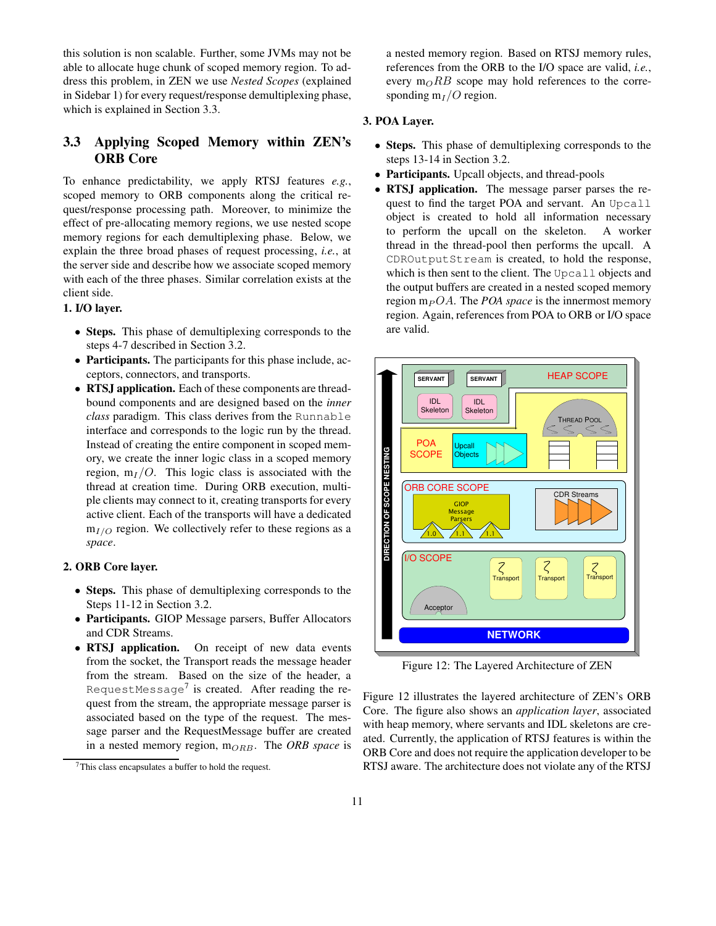this solution is non scalable. Further, some JVMs may not be able to allocate huge chunk of scoped memory region. To address this problem, in ZEN we use *Nested Scopes* (explained in Sidebar 1) for every request/response demultiplexing phase, which is explained in Section 3.3.

# **3.3 Applying Scoped Memory within ZEN's ORB Core**

To enhance predictability, we apply RTSJ features *e.g.*, scoped memory to ORB components along the critical request/response processing path. Moreover, to minimize the effect of pre-allocating memory regions, we use nested scope memory regions for each demultiplexing phase. Below, we explain the three broad phases of request processing, *i.e.*, at the server side and describe how we associate scoped memory with each of the three phases. Similar correlation exists at the client side.

# **1. I/O layer.**

- **Steps.** This phase of demultiplexing corresponds to the steps 4-7 described in Section 3.2.
- **Participants.** The participants for this phase include, acceptors, connectors, and transports.
- **RTSJ application.** Each of these components are threadbound components and are designed based on the *inner class* paradigm. This class derives from the Runnable interface and corresponds to the logic run by the thread. Instead of creating the entire component in scoped memory, we create the inner logic class in a scoped memory region,  $m_I/O$ . This logic class is associated with the thread at creation time. During ORB execution, multiple clients may connect to it, creating transports for every active client. Each of the transports will have a dedicated  $m_{I/O}$  region. We collectively refer to these regions as a *space*.

#### **2. ORB Core layer.**

- **Steps.** This phase of demultiplexing corresponds to the Steps 11-12 in Section 3.2.
- **Participants.** GIOP Message parsers, Buffer Allocators and CDR Streams.
- **RTSJ application.** On receipt of new data events from the socket, the Transport reads the message header from the stream. Based on the size of the header, a RequestMessage $^7$  is created. After reading the request from the stream, the appropriate message parser is associated based on the type of the request. The message parser and the RequestMessage buffer are created in a nested memory region, m<sub>ORB</sub>. The ORB space is

a nested memory region. Based on RTSJ memory rules, references from the ORB to the I/O space are valid, *i.e.*, every  $m_QRB$  scope may hold references to the corresponding  $m_I/O$  region.

### **3. POA Layer.**

- **Steps.** This phase of demultiplexing corresponds to the steps 13-14 in Section 3.2.
- **Participants.** Upcall objects, and thread-pools
- **RTSJ application.** The message parser parses the request to find the target POA and servant. An Upcall object is created to hold all information necessary to perform the upcall on the skeleton. A worker thread in the thread-pool then performs the upcall. A CDROutputStream is created, to hold the response, which is then sent to the client. The Upcall objects and the output buffers are created in a nested scoped memory region  $m_P OA$ . The *POA space* is the innermost memory region. Again, references from POA to ORB or I/O space are valid.



Figure 12: The Layered Architecture of ZEN

Figure 12 illustrates the layered architecture of ZEN's ORB Core. The figure also shows an *application layer*, associated with heap memory, where servants and IDL skeletons are created. Currently, the application of RTSJ features is within the ORB Core and does not require the application developer to be RTSJ aware. The architecture does not violate any of the RTSJ

 $7$ This class encapsulates a buffer to hold the request.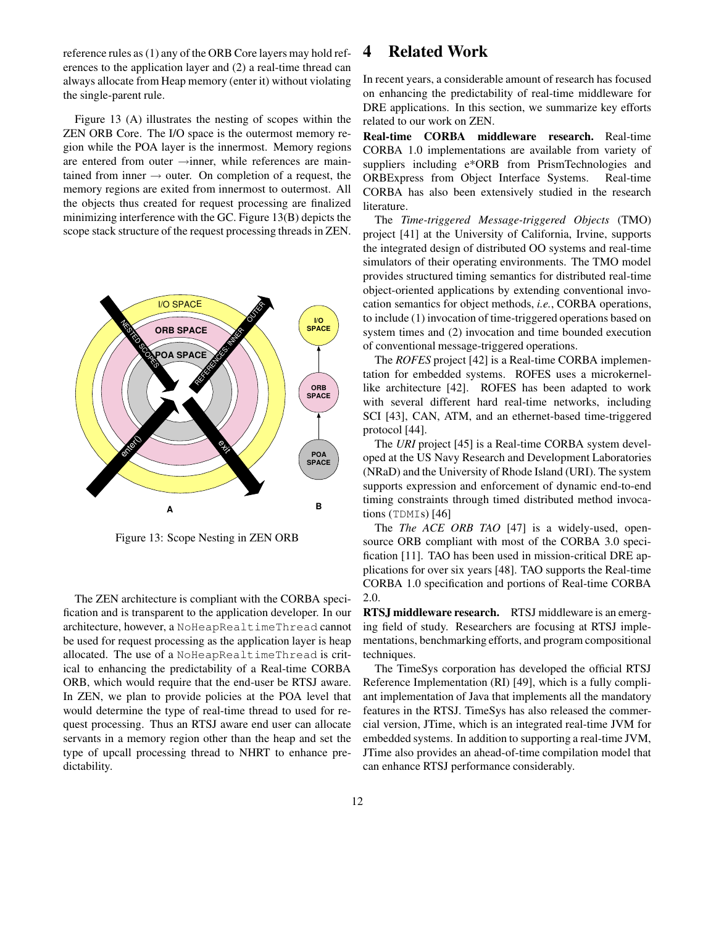reference rules as (1) any of the ORB Core layers may hold references to the application layer and (2) a real-time thread can always allocate from Heap memory (enter it) without violating the single-parent rule.

Figure 13 (A) illustrates the nesting of scopes within the ZEN ORB Core. The I/O space is the outermost memory region while the POA layer is the innermost. Memory regions are entered from outer →inner, while references are maintained from inner  $\rightarrow$  outer. On completion of a request, the memory regions are exited from innermost to outermost. All the objects thus created for request processing are finalized minimizing interference with the GC. Figure 13(B) depicts the scope stack structure of the request processing threads in ZEN.



Figure 13: Scope Nesting in ZEN ORB

The ZEN architecture is compliant with the CORBA specification and is transparent to the application developer. In our architecture, however, a NoHeapRealtimeThread cannot be used for request processing as the application layer is heap allocated. The use of a NoHeapRealtimeThread is critical to enhancing the predictability of a Real-time CORBA ORB, which would require that the end-user be RTSJ aware. In ZEN, we plan to provide policies at the POA level that would determine the type of real-time thread to used for request processing. Thus an RTSJ aware end user can allocate servants in a memory region other than the heap and set the type of upcall processing thread to NHRT to enhance predictability.

# **4 Related Work**

In recent years, a considerable amount of research has focused on enhancing the predictability of real-time middleware for DRE applications. In this section, we summarize key efforts related to our work on ZEN.

**Real-time CORBA middleware research.** Real-time CORBA 1.0 implementations are available from variety of suppliers including e\*ORB from PrismTechnologies and ORBExpress from Object Interface Systems. Real-time CORBA has also been extensively studied in the research literature.

The *Time-triggered Message-triggered Objects* (TMO) project [41] at the University of California, Irvine, supports the integrated design of distributed OO systems and real-time simulators of their operating environments. The TMO model provides structured timing semantics for distributed real-time object-oriented applications by extending conventional invocation semantics for object methods, *i.e.*, CORBA operations, to include (1) invocation of time-triggered operations based on system times and (2) invocation and time bounded execution of conventional message-triggered operations.

The *ROFES* project [42] is a Real-time CORBA implementation for embedded systems. ROFES uses a microkernellike architecture [42]. ROFES has been adapted to work with several different hard real-time networks, including SCI [43], CAN, ATM, and an ethernet-based time-triggered protocol [44].

The *URI* project [45] is a Real-time CORBA system developed at the US Navy Research and Development Laboratories (NRaD) and the University of Rhode Island (URI). The system supports expression and enforcement of dynamic end-to-end timing constraints through timed distributed method invocations (TDMIs) [46]

The *The ACE ORB TAO* [47] is a widely-used, opensource ORB compliant with most of the CORBA 3.0 specification [11]. TAO has been used in mission-critical DRE applications for over six years [48]. TAO supports the Real-time CORBA 1.0 specification and portions of Real-time CORBA 2.0.

**RTSJ middleware research.** RTSJ middleware is an emerging field of study. Researchers are focusing at RTSJ implementations, benchmarking efforts, and program compositional techniques.

The TimeSys corporation has developed the official RTSJ Reference Implementation (RI) [49], which is a fully compliant implementation of Java that implements all the mandatory features in the RTSJ. TimeSys has also released the commercial version, JTime, which is an integrated real-time JVM for embedded systems. In addition to supporting a real-time JVM, JTime also provides an ahead-of-time compilation model that can enhance RTSJ performance considerably.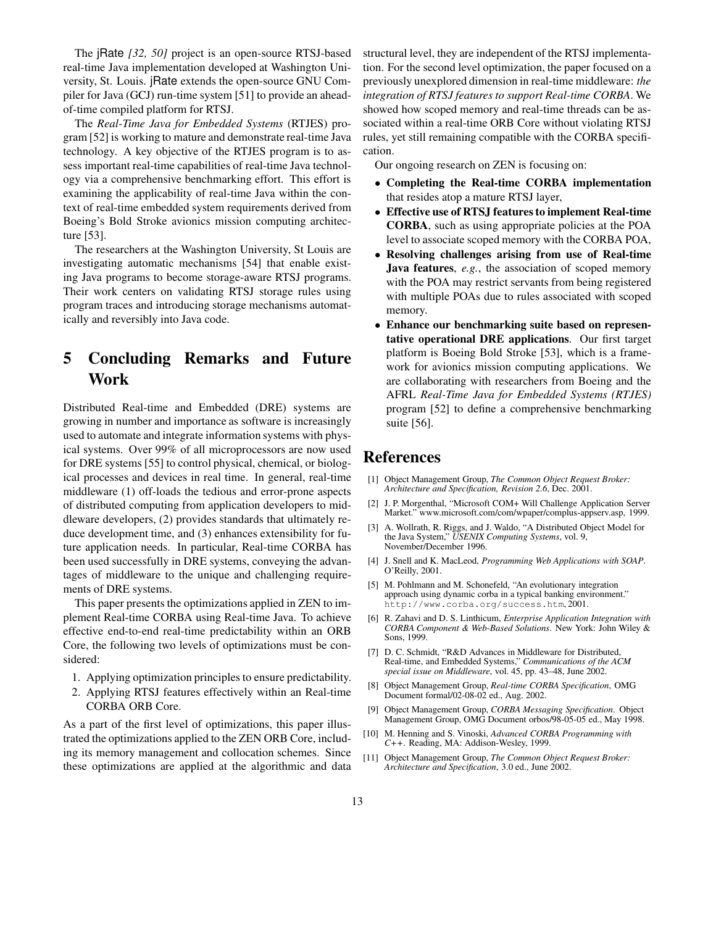The jRate *[32, 50]* project is an open-source RTSJ-based real-time Java implementation developed at Washington University, St. Louis. jRate extends the open-source GNU Compiler for Java (GCJ) run-time system [51] to provide an aheadof-time compiled platform for RTSJ.

The *Real-Time Java for Embedded Systems* (RTJES) program [52] is working to mature and demonstrate real-time Java technology. A key objective of the RTJES program is to assess important real-time capabilities of real-time Java technology via a comprehensive benchmarking effort. This effort is examining the applicability of real-time Java within the context of real-time embedded system requirements derived from Boeing's Bold Stroke avionics mission computing architecture [53].

The researchers at the Washington University, St Louis are investigating automatic mechanisms [54] that enable existing Java programs to become storage-aware RTSJ programs. Their work centers on validating RTSJ storage rules using program traces and introducing storage mechanisms automatically and reversibly into Java code.

# **5 Concluding Remarks and Future Work**

Distributed Real-time and Embedded (DRE) systems are growing in number and importance as software is increasingly used to automate and integrate information systems with physical systems. Over 99% of all microprocessors are now used for DRE systems [55] to control physical, chemical, or biological processes and devices in real time. In general, real-time middleware (1) off-loads the tedious and error-prone aspects of distributed computing from application developers to middleware developers, (2) provides standards that ultimately reduce development time, and (3) enhances extensibility for future application needs. In particular, Real-time CORBA has been used successfully in DRE systems, conveying the advantages of middleware to the unique and challenging requirements of DRE systems.

This paper presents the optimizations applied in ZEN to implement Real-time CORBA using Real-time Java. To achieve effective end-to-end real-time predictability within an ORB Core, the following two levels of optimizations must be considered:

- 1. Applying optimization principles to ensure predictability.
- 2. Applying RTSJ features effectively within an Real-time CORBA ORB Core.

As a part of the first level of optimizations, this paper illustrated the optimizations applied to the ZEN ORB Core, including its memory management and collocation schemes. Since these optimizations are applied at the algorithmic and data structural level, they are independent of the RTSJ implementation. For the second level optimization, the paper focused on a previously unexplored dimension in real-time middleware: *the integration of RTSJ features to support Real-time CORBA*. We showed how scoped memory and real-time threads can be associated within a real-time ORB Core without violating RTSJ rules, yet still remaining compatible with the CORBA specification.

Our ongoing research on ZEN is focusing on:

- **Completing the Real-time CORBA implementation** that resides atop a mature RTSJ layer,
- **Effective use of RTSJ featuresto implement Real-time CORBA**, such as using appropriate policies at the POA level to associate scoped memory with the CORBA POA,
- **Resolving challenges arising from use of Real-time Java features**, *e.g.*, the association of scoped memory with the POA may restrict servants from being registered with multiple POAs due to rules associated with scoped memory.
- **Enhance our benchmarking suite based on representative operational DRE applications**. Our first target platform is Boeing Bold Stroke [53], which is a framework for avionics mission computing applications. We are collaborating with researchers from Boeing and the AFRL *Real-Time Java for Embedded Systems (RTJES)* program [52] to define a comprehensive benchmarking suite [56].

# **References**

- [1] Object Management Group, *The Common Object Request Broker: Architecture and Specification, Revision 2.6*, Dec. 2001.
- [2] J. P. Morgenthal, "Microsoft COM+ Will Challenge Application Server Market." www.microsoft.com/com/wpaper/complus-appserv.asp, 1999.
- [3] A. Wollrath, R. Riggs, and J. Waldo, "A Distributed Object Model for the Java System," *USENIX Computing Systems*, vol. 9, November/December 1996.
- [4] J. Snell and K. MacLeod, *Programming Web Applications with SOAP*. O'Reilly, 2001.
- [5] M. Pohlmann and M. Schonefeld, "An evolutionary integration approach using dynamic corba in a typical banking environment." http://www.corba.org/success.htm, 2001.
- [6] R. Zahavi and D. S. Linthicum, *Enterprise Application Integration with CORBA Component & Web-Based Solutions*. New York: John Wiley & Sons, 1999.
- [7] D. C. Schmidt, "R&D Advances in Middleware for Distributed, Real-time, and Embedded Systems," *Communications of the ACM special issue on Middleware*, vol. 45, pp. 43–48, June 2002.
- [8] Object Management Group, *Real-time CORBA Specification*, OMG Document formal/02-08-02 ed., Aug. 2002.
- [9] Object Management Group, *CORBA Messaging Specification*. Object Management Group, OMG Document orbos/98-05-05 ed., May 1998.
- [10] M. Henning and S. Vinoski, *Advanced CORBA Programming with C++*. Reading, MA: Addison-Wesley, 1999.
- [11] Object Management Group, *The Common Object Request Broker: Architecture and Specification*, 3.0 ed., June 2002.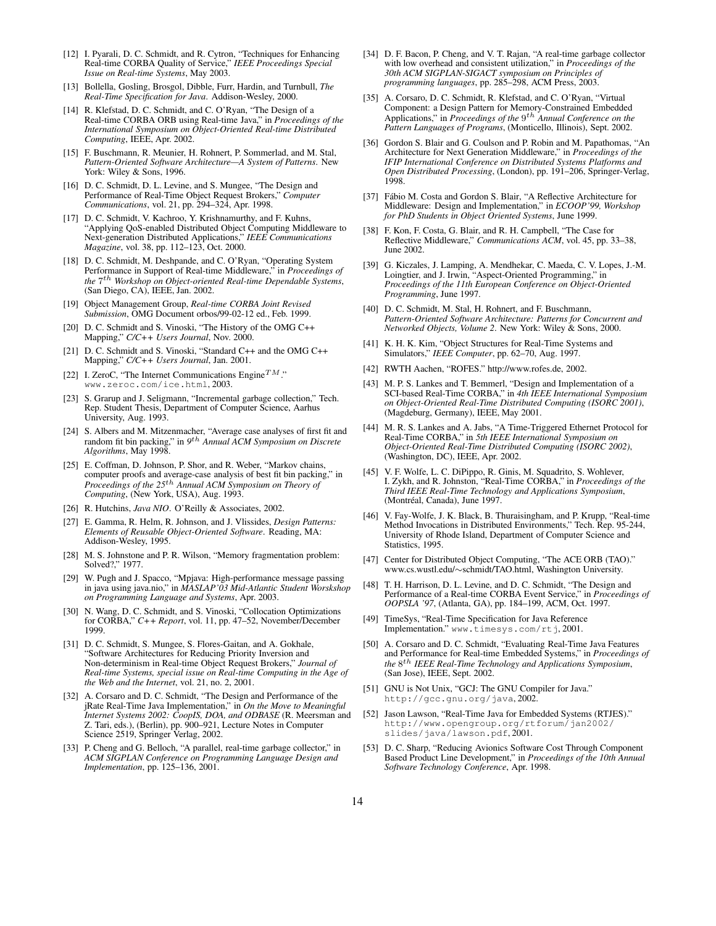- [12] I. Pyarali, D. C. Schmidt, and R. Cytron, "Techniques for Enhancing Real-time CORBA Quality of Service," *IEEE Proceedings Special Issue on Real-time Systems*, May 2003.
- [13] Bollella, Gosling, Brosgol, Dibble, Furr, Hardin, and Turnbull, *The Real-Time Specification for Java*. Addison-Wesley, 2000.
- [14] R. Klefstad, D. C. Schmidt, and C. O'Ryan, "The Design of a Real-time CORBA ORB using Real-time Java," in *Proceedings of the International Symposium on Object-Oriented Real-time Distributed Computing*, IEEE, Apr. 2002.
- [15] F. Buschmann, R. Meunier, H. Rohnert, P. Sommerlad, and M. Stal, *Pattern-Oriented Software Architecture—A System of Patterns*. New York: Wiley & Sons, 1996.
- [16] D. C. Schmidt, D. L. Levine, and S. Mungee, "The Design and Performance of Real-Time Object Request Brokers," *Computer Communications*, vol. 21, pp. 294–324, Apr. 1998.
- [17] D. C. Schmidt, V. Kachroo, Y. Krishnamurthy, and F. Kuhns, "Applying QoS-enabled Distributed Object Computing Middleware to Next-generation Distributed Applications," *IEEE Communications Magazine*, vol. 38, pp. 112–123, Oct. 2000.
- [18] D. C. Schmidt, M. Deshpande, and C. O'Ryan, "Operating System Performance in Support of Real-time Middleware," in *Proceedings of the* 7 th *Workshop on Object-oriented Real-time Dependable Systems*, (San Diego, CA), IEEE, Jan. 2002.
- [19] Object Management Group, *Real-time CORBA Joint Revised Submission*, OMG Document orbos/99-02-12 ed., Feb. 1999.
- [20] D. C. Schmidt and S. Vinoski, "The History of the OMG C++ Mapping," *C/C++ Users Journal*, Nov. 2000.
- [21] D. C. Schmidt and S. Vinoski, "Standard C++ and the OMG C++ Mapping," *C/C++ Users Journal*, Jan. 2001.
- [22] I. ZeroC, "The Internet Communications Engine<sup>TM</sup>." www.zeroc.com/ice.html, 2003.
- [23] S. Grarup and J. Seligmann, "Incremental garbage collection," Tech. Rep. Student Thesis, Department of Computer Science, Aarhus University, Aug. 1993.
- [24] S. Albers and M. Mitzenmacher, "Average case analyses of first fit and random fit bin packing," in *9* th *Annual ACM Symposium on Discrete Algorithms*, May 1998.
- [25] E. Coffman, D. Johnson, P. Shor, and R. Weber, "Markov chains, computer proofs and average-case analysis of best fit bin packing," in *Proceedings of the 25*th *Annual ACM Symposium on Theory of Computing*, (New York, USA), Aug. 1993.
- [26] R. Hutchins, *Java NIO*. O'Reilly & Associates, 2002.
- [27] E. Gamma, R. Helm, R. Johnson, and J. Vlissides, *Design Patterns: Elements of Reusable Object-Oriented Software*. Reading, MA: Addison-Wesley, 1995.
- [28] M. S. Johnstone and P. R. Wilson, "Memory fragmentation problem: Solved?," 1977.
- [29] W. Pugh and J. Spacco, "Mpjava: High-performance message passing in java using java.nio," in *MASLAP'03 Mid-Atlantic Student Worskshop on Programming Language and Systems*, Apr. 2003.
- [30] N. Wang, D. C. Schmidt, and S. Vinoski, "Collocation Optimizations for CORBA," *C++ Report*, vol. 11, pp. 47–52, November/December 1999.
- [31] D. C. Schmidt, S. Mungee, S. Flores-Gaitan, and A. Gokhale, "Software Architectures for Reducing Priority Inversion and Non-determinism in Real-time Object Request Brokers," *Journal of Real-time Systems, special issue on Real-time Computing in the Age of the Web and the Internet*, vol. 21, no. 2, 2001.
- [32] A. Corsaro and D. C. Schmidt, "The Design and Performance of the jRate Real-Time Java Implementation," in *On the Move to Meaningful Internet Systems 2002: CoopIS, DOA, and ODBASE* (R. Meersman and Z. Tari, eds.), (Berlin), pp. 900–921, Lecture Notes in Computer Science 2519, Springer Verlag, 2002.
- [33] P. Cheng and G. Belloch, "A parallel, real-time garbage collector," in *ACM SIGPLAN Conference on Programming Language Design and Implementation*, pp. 125–136, 2001.
- [34] D. F. Bacon, P. Cheng, and V. T. Rajan, "A real-time garbage collector with low overhead and consistent utilization," in *Proceedings of the 30th ACM SIGPLAN-SIGACT symposium on Principles of programming languages*, pp. 285–298, ACM Press, 2003.
- [35] A. Corsaro, D. C. Schmidt, R. Klefstad, and C. O'Ryan, "Virtual Component: a Design Pattern for Memory-Constrained Embedded Applications," in *Proceedings of the* 9 th *Annual Conference on the Pattern Languages of Programs*, (Monticello, Illinois), Sept. 2002.
- [36] Gordon S. Blair and G. Coulson and P. Robin and M. Papathomas, "An Architecture for Next Generation Middleware," in *Proceedings of the IFIP International Conference on Distributed Systems Platforms and Open Distributed Processing*, (London), pp. 191–206, Springer-Verlag, 1998.
- [37] Fábio M. Costa and Gordon S. Blair, "A Reflective Architecture for Middleware: Design and Implementation," in *ECOOP'99, Workshop for PhD Students in Object Oriented Systems*, June 1999.
- [38] F. Kon, F. Costa, G. Blair, and R. H. Campbell, "The Case for Reflective Middleware," *Communications ACM*, vol. 45, pp. 33–38, June 2002.
- [39] G. Kiczales, J. Lamping, A. Mendhekar, C. Maeda, C. V. Lopes, J.-M. Loingtier, and J. Irwin, "Aspect-Oriented Programming," in *Proceedings of the 11th European Conference on Object-Oriented Programming*, June 1997.
- [40] D. C. Schmidt, M. Stal, H. Rohnert, and F. Buschmann, *Pattern-Oriented Software Architecture: Patterns for Concurrent and Networked Objects, Volume 2*. New York: Wiley & Sons, 2000.
- [41] K. H. K. Kim, "Object Structures for Real-Time Systems and Simulators," *IEEE Computer*, pp. 62–70, Aug. 1997.
- [42] RWTH Aachen, "ROFES." http://www.rofes.de, 2002.
- [43] M. P. S. Lankes and T. Bemmerl, "Design and Implementation of a SCI-based Real-Time CORBA," in *4th IEEE International Symposium on Object-Oriented Real-Time Distributed Computing (ISORC 2001)*, (Magdeburg, Germany), IEEE, May 2001.
- [44] M. R. S. Lankes and A. Jabs, "A Time-Triggered Ethernet Protocol for Real-Time CORBA," in *5th IEEE International Symposium on Object-Oriented Real-Time Distributed Computing (ISORC 2002)*, (Washington, DC), IEEE, Apr. 2002.
- [45] V. F. Wolfe, L. C. DiPippo, R. Ginis, M. Squadrito, S. Wohlever, I. Zykh, and R. Johnston, "Real-Time CORBA," in *Proceedings of the Third IEEE Real-Time Technology and Applications Symposium*, (Montréal, Canada), June 1997.
- [46] V. Fay-Wolfe, J. K. Black, B. Thuraisingham, and P. Krupp, "Real-time Method Invocations in Distributed Environments," Tech. Rep. 95-244, University of Rhode Island, Department of Computer Science and Statistics, 1995.
- [47] Center for Distributed Object Computing, "The ACE ORB (TAO)." www.cs.wustl.edu/∼schmidt/TAO.html, Washington University.
- [48] T. H. Harrison, D. L. Levine, and D. C. Schmidt, "The Design and Performance of a Real-time CORBA Event Service," in *Proceedings of OOPSLA '97*, (Atlanta, GA), pp. 184–199, ACM, Oct. 1997.
- [49] TimeSys, "Real-Time Specification for Java Reference Implementation." www.timesys.com/rtj, 2001.
- [50] A. Corsaro and D. C. Schmidt, "Evaluating Real-Time Java Features and Performance for Real-time Embedded Systems," in *Proceedings of the* 8 th *IEEE Real-Time Technology and Applications Symposium*, (San Jose), IEEE, Sept. 2002.
- [51] GNU is Not Unix, "GCJ: The GNU Compiler for Java." http://gcc.gnu.org/java, 2002.
- [52] Jason Lawson, "Real-Time Java for Embedded Systems (RTJES)." http://www.opengroup.org/rtforum/jan2002/ slides/java/lawson.pdf, 2001.
- [53] D. C. Sharp, "Reducing Avionics Software Cost Through Component Based Product Line Development," in *Proceedings of the 10th Annual Software Technology Conference*, Apr. 1998.